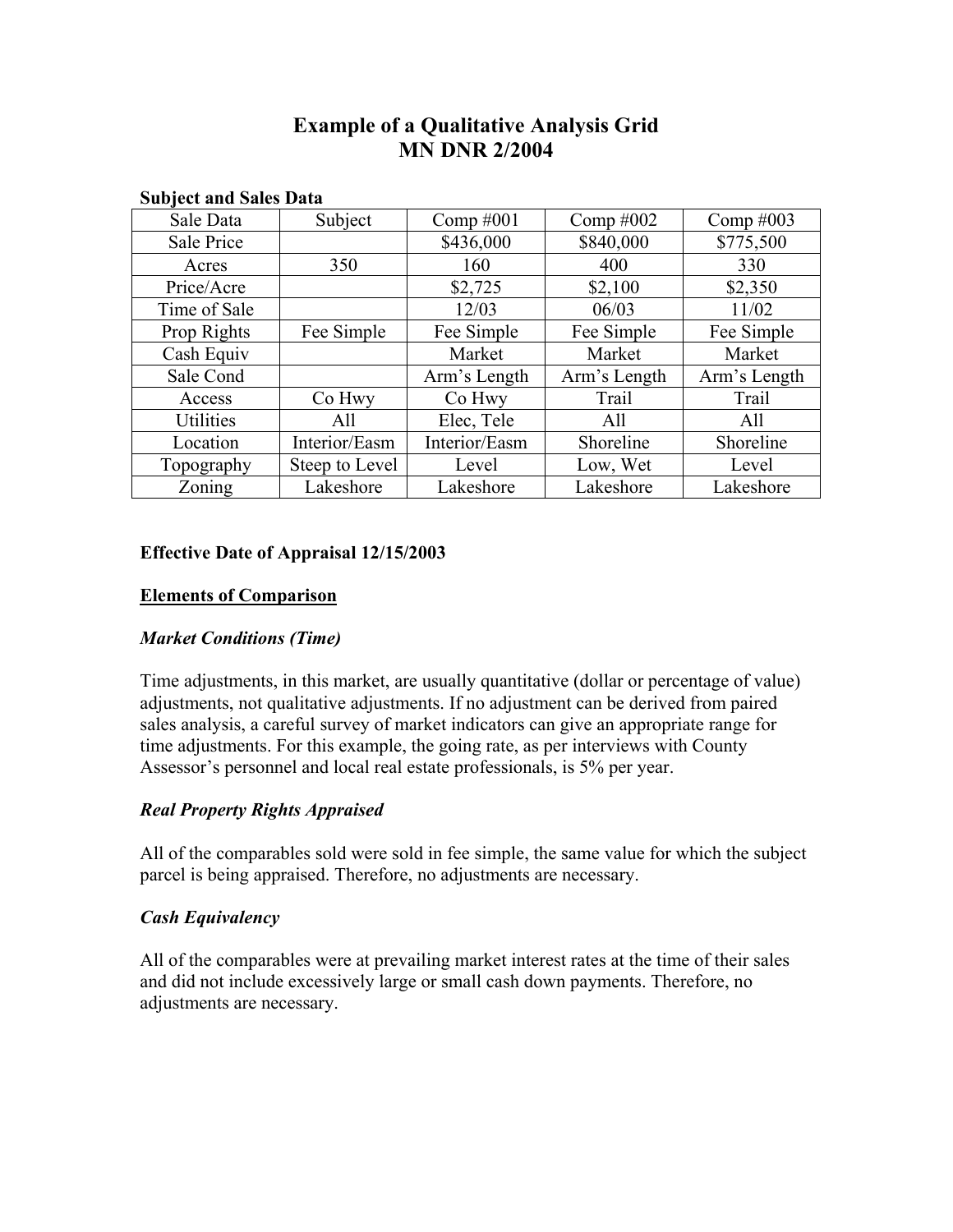# **Example of a Qualitative Analysis Grid MN DNR 2/2004**

| $\mathcal{L}$ ubject and $\mathcal{L}$ ants $\mathcal{L}$ ata |                |               |              |              |
|---------------------------------------------------------------|----------------|---------------|--------------|--------------|
| Sale Data                                                     | Subject        | Comp $#001$   | Comp $\#002$ | Comp $#003$  |
| Sale Price                                                    |                | \$436,000     | \$840,000    | \$775,500    |
| Acres                                                         | 350            | 160           | 400          | 330          |
| Price/Acre                                                    |                | \$2,725       | \$2,100      | \$2,350      |
| Time of Sale                                                  |                | 12/03         | 06/03        | 11/02        |
| Prop Rights                                                   | Fee Simple     | Fee Simple    | Fee Simple   | Fee Simple   |
| Cash Equiv                                                    |                | Market        | Market       | Market       |
| Sale Cond                                                     |                | Arm's Length  | Arm's Length | Arm's Length |
| Access                                                        | Co Hwy         | Co Hwy        | Trail        | Trail        |
| Utilities                                                     | All            | Elec, Tele    | All          | All          |
| Location                                                      | Interior/Easm  | Interior/Easm | Shoreline    | Shoreline    |
| Topography                                                    | Steep to Level | Level         | Low, Wet     | Level        |
| Zoning                                                        | Lakeshore      | Lakeshore     | Lakeshore    | Lakeshore    |

# **Subject and Sales Data**

#### **Effective Date of Appraisal 12/15/2003**

#### **Elements of Comparison**

# *Market Conditions (Time)*

Time adjustments, in this market, are usually quantitative (dollar or percentage of value) adjustments, not qualitative adjustments. If no adjustment can be derived from paired sales analysis, a careful survey of market indicators can give an appropriate range for time adjustments. For this example, the going rate, as per interviews with County Assessor's personnel and local real estate professionals, is 5% per year.

# *Real Property Rights Appraised*

All of the comparables sold were sold in fee simple, the same value for which the subject parcel is being appraised. Therefore, no adjustments are necessary.

# *Cash Equivalency*

All of the comparables were at prevailing market interest rates at the time of their sales and did not include excessively large or small cash down payments. Therefore, no adjustments are necessary.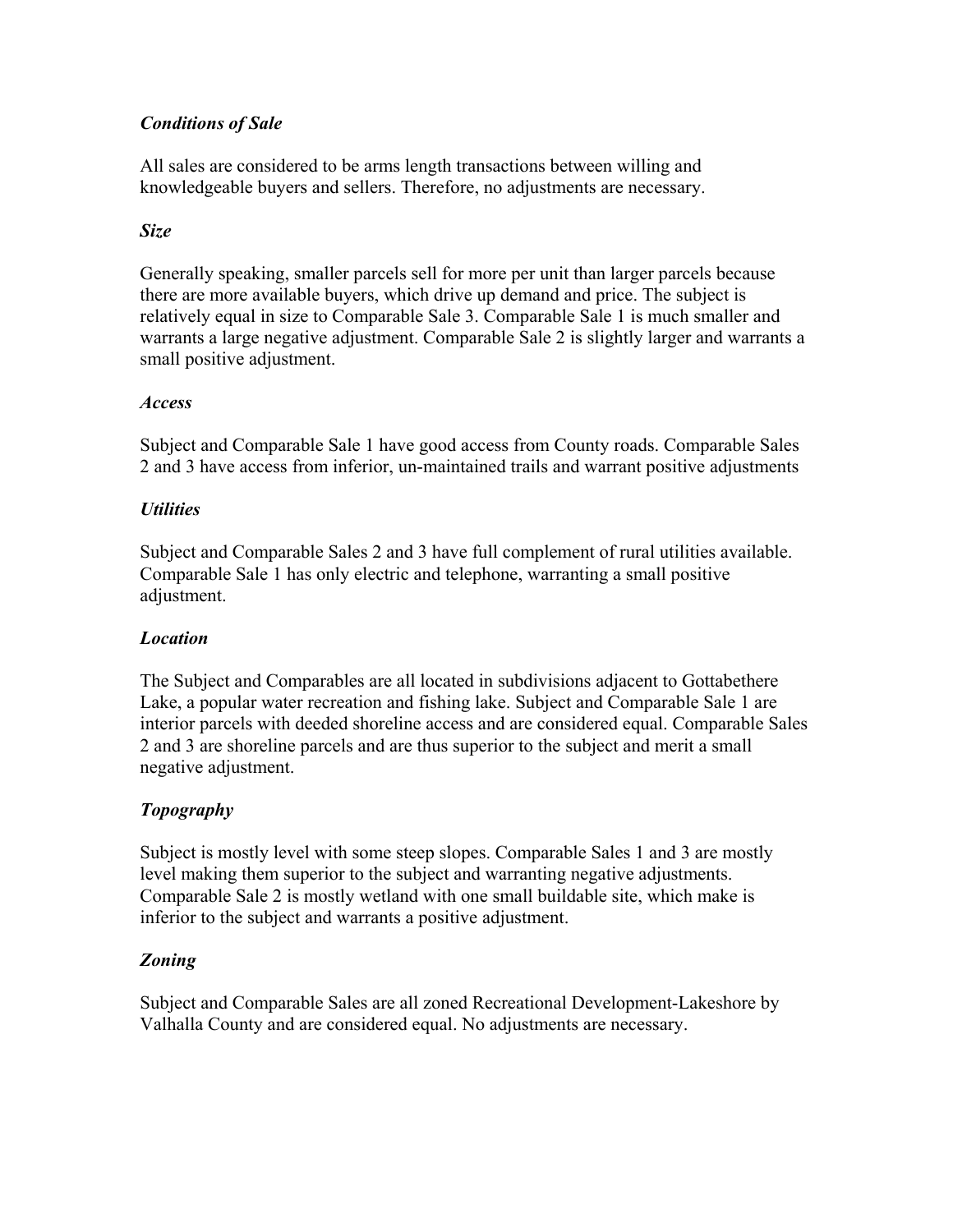# *Conditions of Sale*

All sales are considered to be arms length transactions between willing and knowledgeable buyers and sellers. Therefore, no adjustments are necessary.

# *Size*

Generally speaking, smaller parcels sell for more per unit than larger parcels because there are more available buyers, which drive up demand and price. The subject is relatively equal in size to Comparable Sale 3. Comparable Sale 1 is much smaller and warrants a large negative adjustment. Comparable Sale 2 is slightly larger and warrants a small positive adjustment.

# *Access*

Subject and Comparable Sale 1 have good access from County roads. Comparable Sales 2 and 3 have access from inferior, un-maintained trails and warrant positive adjustments

# *Utilities*

Subject and Comparable Sales 2 and 3 have full complement of rural utilities available. Comparable Sale 1 has only electric and telephone, warranting a small positive adjustment.

# *Location*

The Subject and Comparables are all located in subdivisions adjacent to Gottabethere Lake, a popular water recreation and fishing lake. Subject and Comparable Sale 1 are interior parcels with deeded shoreline access and are considered equal. Comparable Sales 2 and 3 are shoreline parcels and are thus superior to the subject and merit a small negative adjustment.

# *Topography*

Subject is mostly level with some steep slopes. Comparable Sales 1 and 3 are mostly level making them superior to the subject and warranting negative adjustments. Comparable Sale 2 is mostly wetland with one small buildable site, which make is inferior to the subject and warrants a positive adjustment.

# *Zoning*

Subject and Comparable Sales are all zoned Recreational Development-Lakeshore by Valhalla County and are considered equal. No adjustments are necessary.